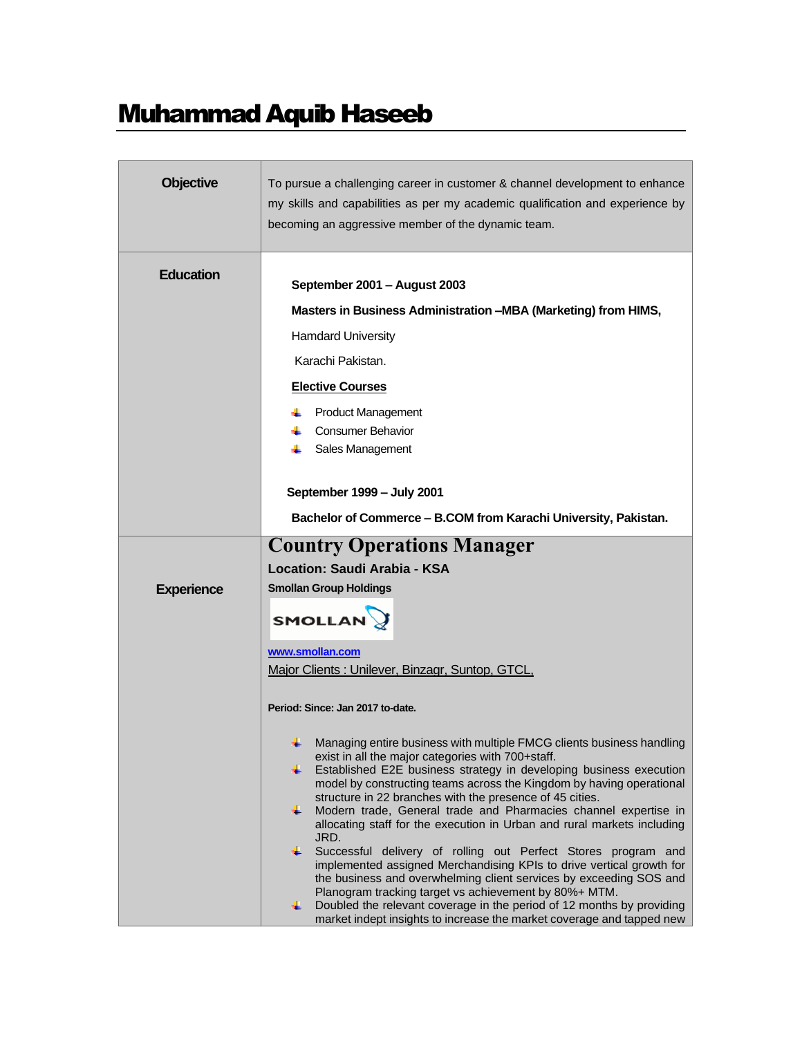# Muhammad Aquib Haseeb

| <b>Objective</b>  | To pursue a challenging career in customer & channel development to enhance<br>my skills and capabilities as per my academic qualification and experience by<br>becoming an aggressive member of the dynamic team.                                                                                                                                                                                                                                                                                                                                                                                                                                                                                                                                                                                                                                                                                                                          |
|-------------------|---------------------------------------------------------------------------------------------------------------------------------------------------------------------------------------------------------------------------------------------------------------------------------------------------------------------------------------------------------------------------------------------------------------------------------------------------------------------------------------------------------------------------------------------------------------------------------------------------------------------------------------------------------------------------------------------------------------------------------------------------------------------------------------------------------------------------------------------------------------------------------------------------------------------------------------------|
| <b>Education</b>  | September 2001 - August 2003<br>Masters in Business Administration -MBA (Marketing) from HIMS,<br><b>Hamdard University</b><br>Karachi Pakistan.<br><b>Elective Courses</b><br><b>Product Management</b><br><b>Consumer Behavior</b><br>Sales Management                                                                                                                                                                                                                                                                                                                                                                                                                                                                                                                                                                                                                                                                                    |
|                   | September 1999 - July 2001<br>Bachelor of Commerce - B.COM from Karachi University, Pakistan.                                                                                                                                                                                                                                                                                                                                                                                                                                                                                                                                                                                                                                                                                                                                                                                                                                               |
| <b>Experience</b> | <b>Country Operations Manager</b><br>Location: Saudi Arabia - KSA<br><b>Smollan Group Holdings</b><br><b>SMOLLAN</b>                                                                                                                                                                                                                                                                                                                                                                                                                                                                                                                                                                                                                                                                                                                                                                                                                        |
|                   | www.smollan.com<br>Major Clients: Unilever, Binzagr, Suntop, GTCL,<br>Period: Since: Jan 2017 to-date.                                                                                                                                                                                                                                                                                                                                                                                                                                                                                                                                                                                                                                                                                                                                                                                                                                      |
|                   | Managing entire business with multiple FMCG clients business handling<br>exist in all the major categories with 700+staff.<br>Established E2E business strategy in developing business execution<br>٠.<br>model by constructing teams across the Kingdom by having operational<br>structure in 22 branches with the presence of 45 cities.<br>Modern trade, General trade and Pharmacies channel expertise in<br>÷.<br>allocating staff for the execution in Urban and rural markets including<br>JRD.<br>÷<br>Successful delivery of rolling out Perfect Stores program and<br>implemented assigned Merchandising KPIs to drive vertical growth for<br>the business and overwhelming client services by exceeding SOS and<br>Planogram tracking target vs achievement by 80%+ MTM.<br>Doubled the relevant coverage in the period of 12 months by providing<br>÷.<br>market indept insights to increase the market coverage and tapped new |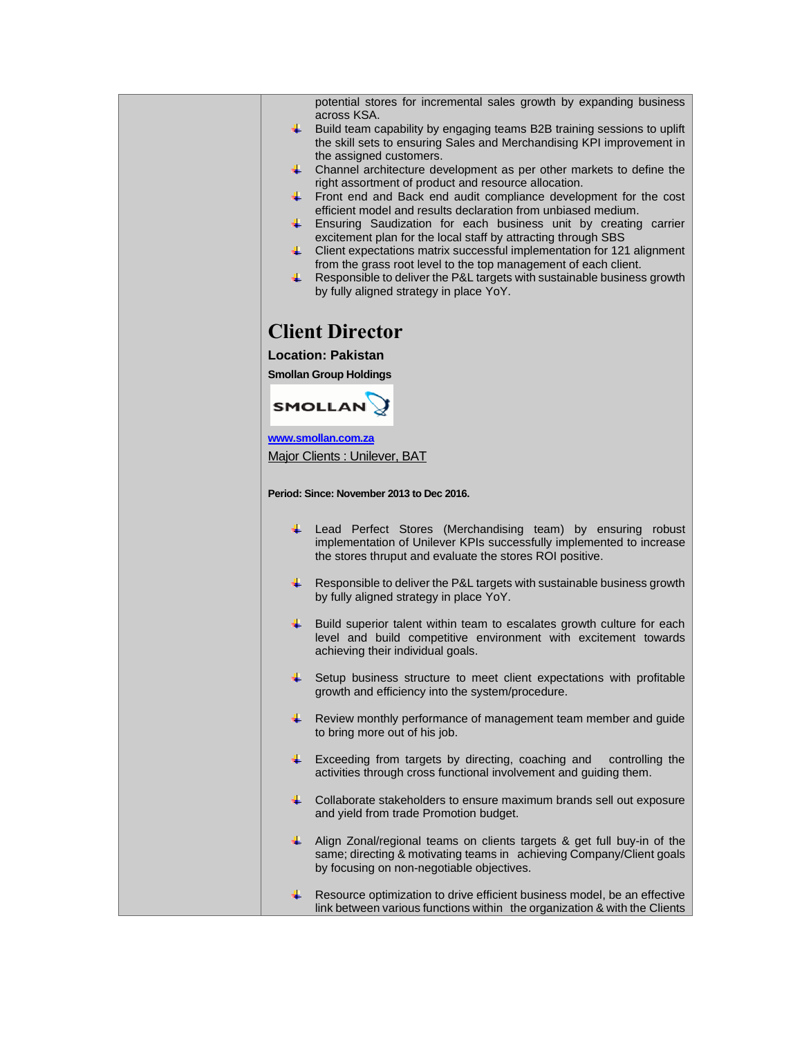| potential stores for incremental sales growth by expanding business                                                                              |
|--------------------------------------------------------------------------------------------------------------------------------------------------|
| across KSA.<br>Build team capability by engaging teams B2B training sessions to uplift<br>₩.                                                     |
| the skill sets to ensuring Sales and Merchandising KPI improvement in                                                                            |
| the assigned customers.<br>₩.,<br>Channel architecture development as per other markets to define the                                            |
| right assortment of product and resource allocation.                                                                                             |
| ٠.<br>Front end and Back end audit compliance development for the cost                                                                           |
| efficient model and results declaration from unbiased medium.<br>÷<br>Ensuring Saudization for each business unit by creating carrier            |
| excitement plan for the local staff by attracting through SBS                                                                                    |
| Client expectations matrix successful implementation for 121 alignment<br>- ⊢<br>from the grass root level to the top management of each client. |
| Responsible to deliver the P&L targets with sustainable business growth<br>₩.                                                                    |
| by fully aligned strategy in place YoY.                                                                                                          |
|                                                                                                                                                  |
| <b>Client Director</b>                                                                                                                           |
| <b>Location: Pakistan</b>                                                                                                                        |
| <b>Smollan Group Holdings</b>                                                                                                                    |
| <b>SMOLLAN</b>                                                                                                                                   |
|                                                                                                                                                  |
| www.smollan.com.za                                                                                                                               |
| Major Clients: Unilever, BAT                                                                                                                     |
|                                                                                                                                                  |
| Period: Since: November 2013 to Dec 2016.                                                                                                        |
| ₩.,<br>Lead Perfect Stores (Merchandising team) by ensuring robust                                                                               |
| implementation of Unilever KPIs successfully implemented to increase                                                                             |
| the stores thruput and evaluate the stores ROI positive.                                                                                         |
| ₩<br>Responsible to deliver the P&L targets with sustainable business growth                                                                     |
| by fully aligned strategy in place YoY.                                                                                                          |
| ÷<br>Build superior talent within team to escalates growth culture for each                                                                      |
| level and build competitive environment with excitement towards<br>achieving their individual goals.                                             |
|                                                                                                                                                  |
| Setup business structure to meet client expectations with profitable<br>growth and efficiency into the system/procedure.                         |
|                                                                                                                                                  |
| ÷<br>Review monthly performance of management team member and guide<br>to bring more out of his job.                                             |
|                                                                                                                                                  |
| ÷<br>Exceeding from targets by directing, coaching and<br>controlling the                                                                        |
| activities through cross functional involvement and guiding them.                                                                                |
| ÷<br>Collaborate stakeholders to ensure maximum brands sell out exposure                                                                         |
| and yield from trade Promotion budget.                                                                                                           |
| ÷<br>Align Zonal/regional teams on clients targets & get full buy-in of the                                                                      |
| same; directing & motivating teams in achieving Company/Client goals<br>by focusing on non-negotiable objectives.                                |
|                                                                                                                                                  |
| ÷<br>Resource optimization to drive efficient business model, be an effective                                                                    |
| link between various functions within the organization & with the Clients                                                                        |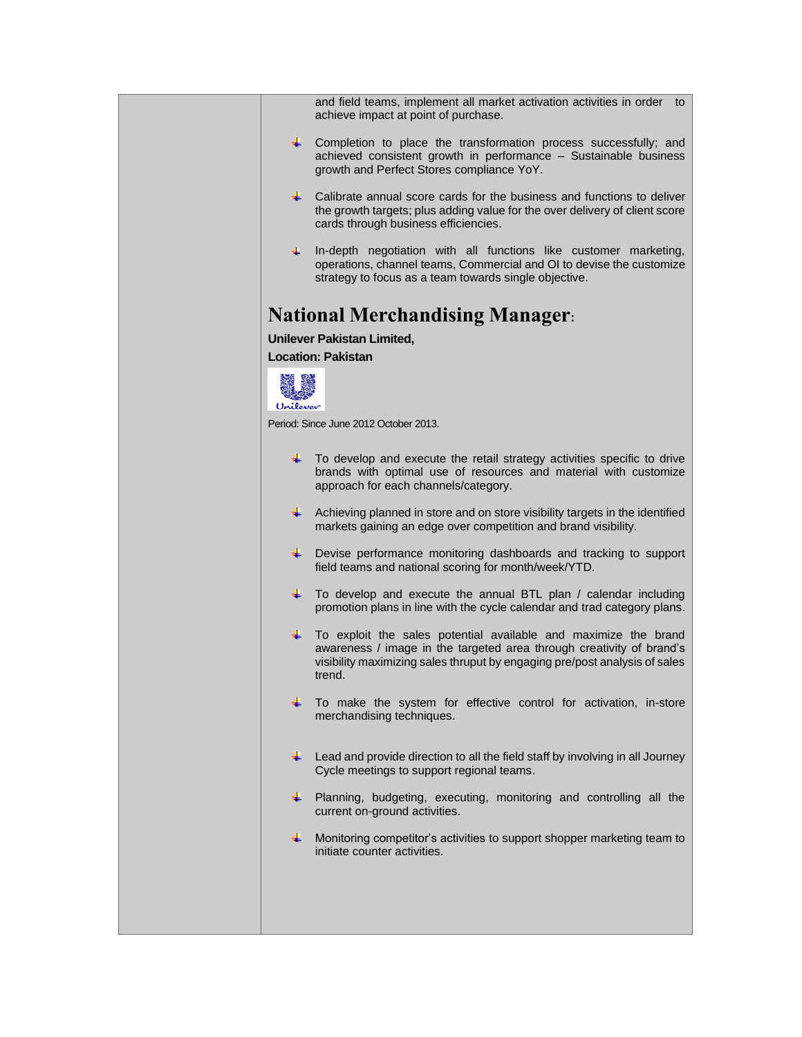|          | and field teams, implement all market activation activities in order to<br>achieve impact at point of purchase.                                                                                                                 |
|----------|---------------------------------------------------------------------------------------------------------------------------------------------------------------------------------------------------------------------------------|
| ÷ .      | Completion to place the transformation process successfully; and<br>achieved consistent growth in performance - Sustainable business<br>growth and Perfect Stores compliance YoY.                                               |
| ÷        | Calibrate annual score cards for the business and functions to deliver<br>the growth targets; plus adding value for the over delivery of client score<br>cards through business efficiencies.                                   |
| ┺        | In-depth negotiation with all functions like customer marketing,<br>operations, channel teams, Commercial and OI to devise the customize<br>strategy to focus as a team towards single objective.                               |
|          | <b>National Merchandising Manager:</b>                                                                                                                                                                                          |
|          | <b>Unilever Pakistan Limited,</b>                                                                                                                                                                                               |
|          | <b>Location: Pakistan</b>                                                                                                                                                                                                       |
|          |                                                                                                                                                                                                                                 |
| Unilever |                                                                                                                                                                                                                                 |
|          | Period: Since June 2012 October 2013.                                                                                                                                                                                           |
|          | $\downarrow$ To develop and execute the retail strategy activities specific to drive<br>brands with optimal use of resources and material with customize<br>approach for each channels/category.                                |
| ٠.       | Achieving planned in store and on store visibility targets in the identified<br>markets gaining an edge over competition and brand visibility.                                                                                  |
| ÷        | Devise performance monitoring dashboards and tracking to support<br>field teams and national scoring for month/week/YTD.                                                                                                        |
| ٠.       | To develop and execute the annual BTL plan / calendar including<br>promotion plans in line with the cycle calendar and trad category plans.                                                                                     |
| ₩.       | To exploit the sales potential available and maximize the brand<br>awareness / image in the targeted area through creativity of brand's<br>visibility maximizing sales thruput by engaging pre/post analysis of sales<br>trend. |
| ÷.       | To make the system for effective control for activation, in-store<br>merchandising techniques.                                                                                                                                  |
| ÷        | Lead and provide direction to all the field staff by involving in all Journey<br>Cycle meetings to support regional teams.                                                                                                      |
| ÷        | Planning, budgeting, executing, monitoring and controlling all the<br>current on-ground activities.                                                                                                                             |
| ÷.       | Monitoring competitor's activities to support shopper marketing team to<br>initiate counter activities.                                                                                                                         |
|          |                                                                                                                                                                                                                                 |
|          |                                                                                                                                                                                                                                 |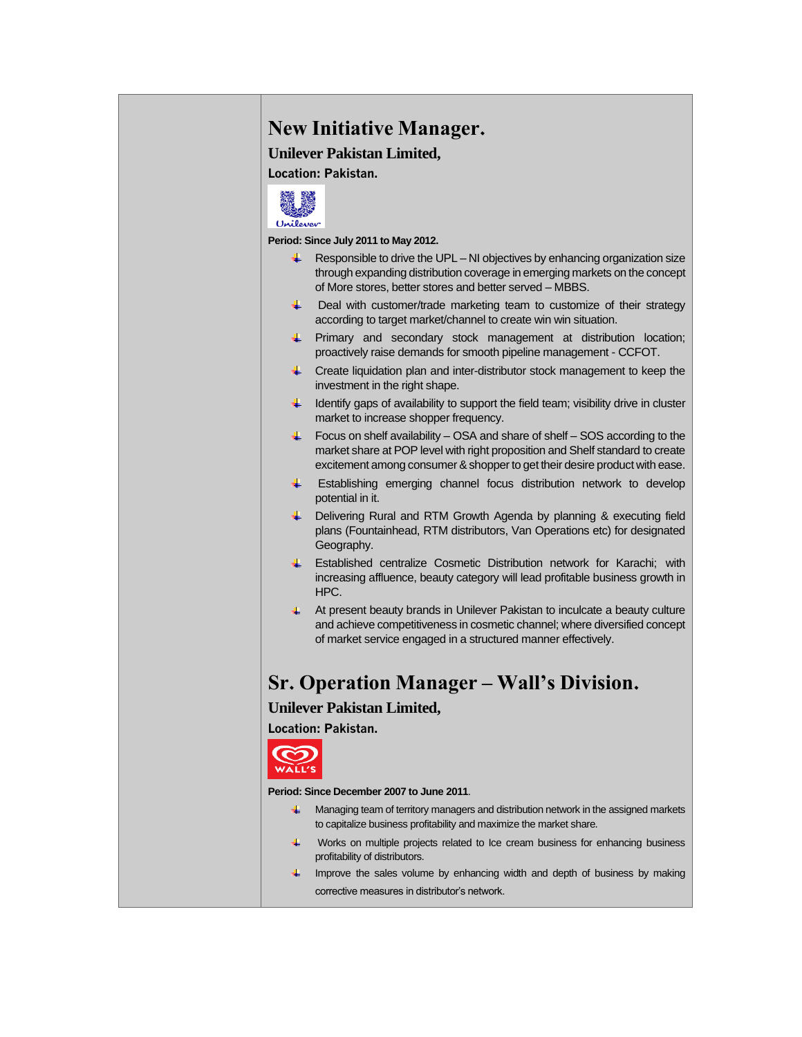### **New Initiative Manager.**

**Unilever Pakistan Limited,**

**Location: Pakistan.**



**Period: Since July 2011 to May 2012.**

- $\downarrow$  Responsible to drive the UPL NI objectives by enhancing organization size through expanding distribution coverage in emerging markets on the concept of More stores, better stores and better served – MBBS.
- ₩. Deal with customer/trade marketing team to customize of their strategy according to target market/channel to create win win situation.
- **Firmary and secondary stock management at distribution location;** proactively raise demands for smooth pipeline management - CCFOT.
- $\downarrow$  Create liquidation plan and inter-distributor stock management to keep the investment in the right shape.
- $\downarrow$  Identify gaps of availability to support the field team; visibility drive in cluster market to increase shopper frequency.
- $\ddotmark$  Focus on shelf availability OSA and share of shelf SOS according to the market share at POP level with right proposition and Shelf standard to create excitement among consumer & shopper to get their desire product with ease.
- Establishing emerging channel focus distribution network to develop ₩. potential in it.
- **U** Delivering Rural and RTM Growth Agenda by planning & executing field plans (Fountainhead, RTM distributors, Van Operations etc) for designated Geography.
- Established centralize Cosmetic Distribution network for Karachi; with increasing affluence, beauty category will lead profitable business growth in HPC.
- 4. At present beauty brands in Unilever Pakistan to inculcate a beauty culture and achieve competitiveness in cosmetic channel; where diversified concept of market service engaged in a structured manner effectively.

### **Sr. Operation Manager – Wall's Division.**

#### **Unilever Pakistan Limited,**

**Location: Pakistan.**



#### **Period: Since December 2007 to June 2011**.

- ₩. Managing team of territory managers and distribution network in the assigned markets to capitalize business profitability and maximize the market share.
- € Works on multiple projects related to Ice cream business for enhancing business profitability of distributors.
- $\downarrow$  Improve the sales volume by enhancing width and depth of business by making corrective measures in distributor's network.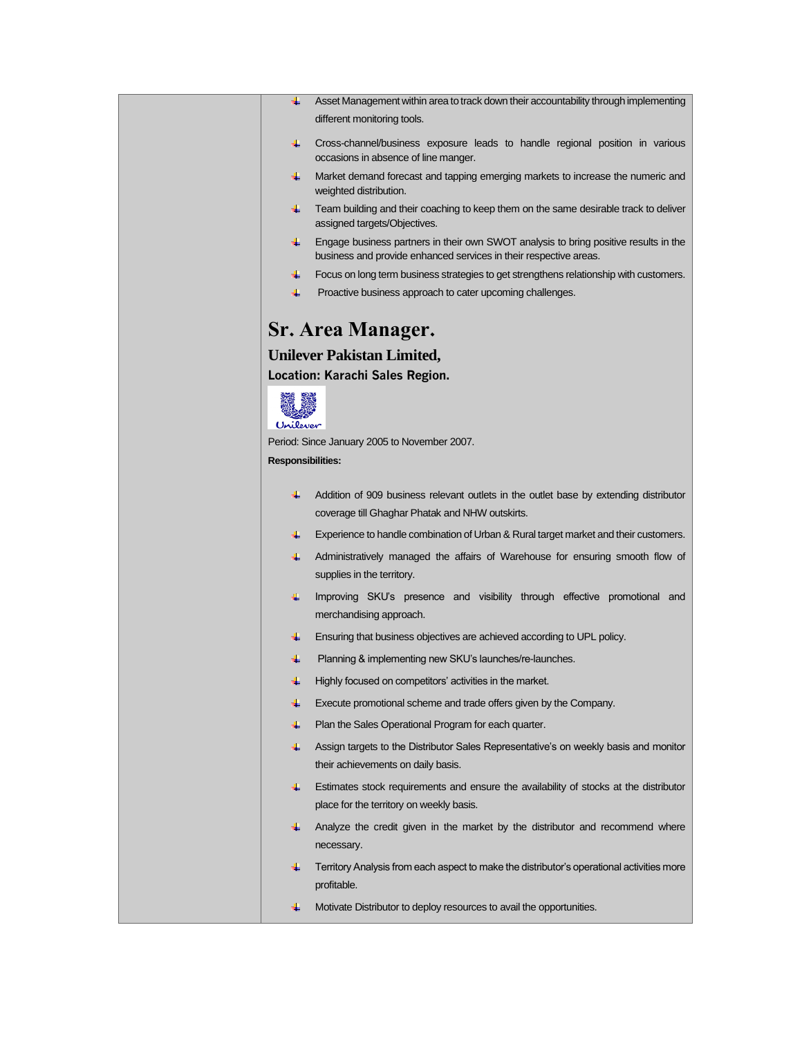- Asset Management within area to track down their accountability through implementing different monitoring tools.
- Cross-channel/business exposure leads to handle regional position in various occasions in absence of line manger.
- Market demand forecast and tapping emerging markets to increase the numeric and weighted distribution.
- Feam building and their coaching to keep them on the same desirable track to deliver assigned targets/Objectives.
- Engage business partners in their own SWOT analysis to bring positive results in the business and provide enhanced services in their respective areas.
- Focus on long term business strategies to get strengthens relationship with customers.
- Proactive business approach to cater upcoming challenges. a.

### **Sr. Area Manager.**

#### **Unilever Pakistan Limited,**

**Location: Karachi Sales Region.**



Period: Since January 2005 to November 2007.

#### **Responsibilities:**

- Addition of 909 business relevant outlets in the outlet base by extending distributor coverage till Ghaghar Phatak and NHW outskirts.
- Experience to handle combination of Urban & Rural target market and their customers.
- Administratively managed the affairs of Warehouse for ensuring smooth flow of supplies in the territory.
- Improving SKU's presence and visibility through effective promotional and merchandising approach.
- $\ddot{\phantom{1}}$  Ensuring that business objectives are achieved according to UPL policy.
- ₩. Planning & implementing new SKU's launches/re-launches.
- $\ddot{\phantom{1}}$  Highly focused on competitors' activities in the market.
- Execute promotional scheme and trade offers given by the Company.
- €. Plan the Sales Operational Program for each quarter.
- Assign targets to the Distributor Sales Representative's on weekly basis and monitor their achievements on daily basis.
- $\ddot{\phantom{1}}$  Estimates stock requirements and ensure the availability of stocks at the distributor place for the territory on weekly basis.
- Analyze the credit given in the market by the distributor and recommend where necessary.
- $\leftarrow$  Territory Analysis from each aspect to make the distributor's operational activities more profitable.
- **4** Motivate Distributor to deploy resources to avail the opportunities.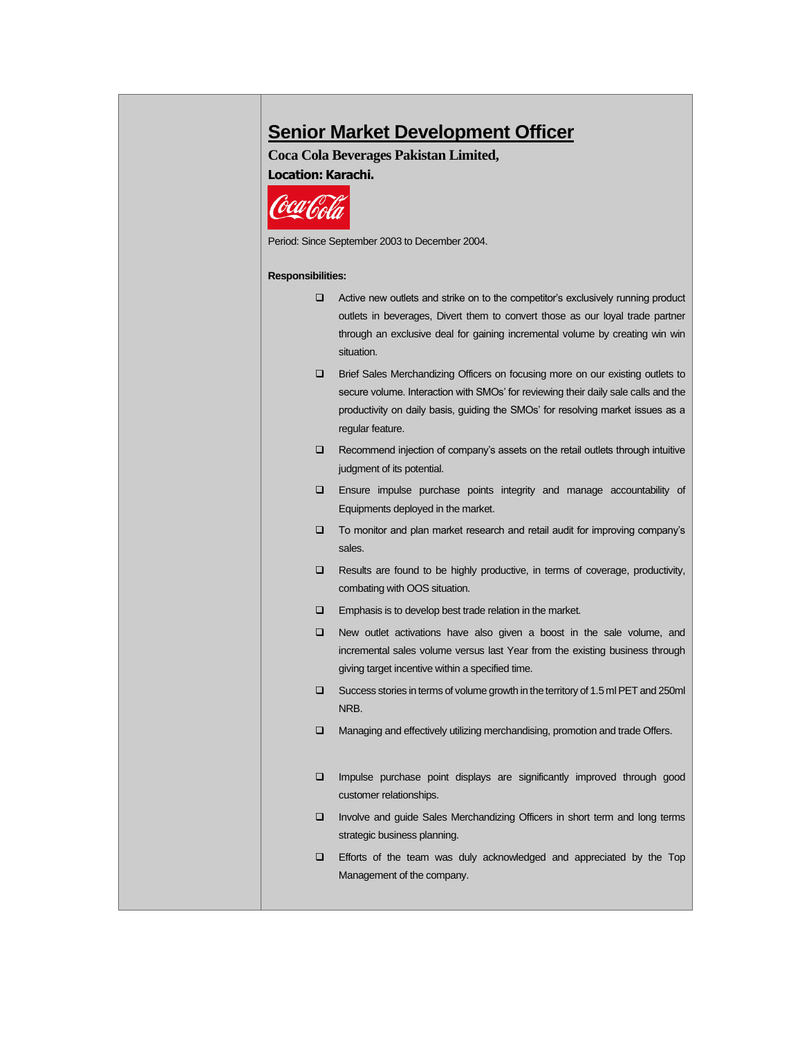## **Senior Market Development Officer**

#### **Coca Cola Beverages Pakistan Limited,**

**Location: Karachi.**



Period: Since September 2003 to December 2004.

#### **Responsibilities:**

| Active new outlets and strike on to the competitor's exclusively running product |  |
|----------------------------------------------------------------------------------|--|
| outlets in beverages. Divert them to convert those as our loyal trade partner    |  |
| through an exclusive deal for gaining incremental volume by creating win win     |  |
| situation.                                                                       |  |
| Brief Sales Merchandizing Officers on focusing more on our existing outlets to   |  |

- secure volume. Interaction with SMOs' for reviewing their daily sale calls and the productivity on daily basis, guiding the SMOs' for resolving market issues as a regular feature.
- ❑ Recommend injection of company's assets on the retail outlets through intuitive judgment of its potential.
- ❑ Ensure impulse purchase points integrity and manage accountability of Equipments deployed in the market.
- ❑ To monitor and plan market research and retail audit for improving company's sales.
- ❑ Results are found to be highly productive, in terms of coverage, productivity, combating with OOS situation.
- ❑ Emphasis is to develop best trade relation in the market.
- ❑ New outlet activations have also given a boost in the sale volume, and incremental sales volume versus last Year from the existing business through giving target incentive within a specified time.
- ❑ Success stories in terms of volume growth in the territory of 1.5 ml PET and 250ml NRB.
- ❑ Managing and effectively utilizing merchandising, promotion and trade Offers.
- ❑ Impulse purchase point displays are significantly improved through good customer relationships.
- ❑ Involve and guide Sales Merchandizing Officers in short term and long terms strategic business planning.
- ❑ Efforts of the team was duly acknowledged and appreciated by the Top Management of the company.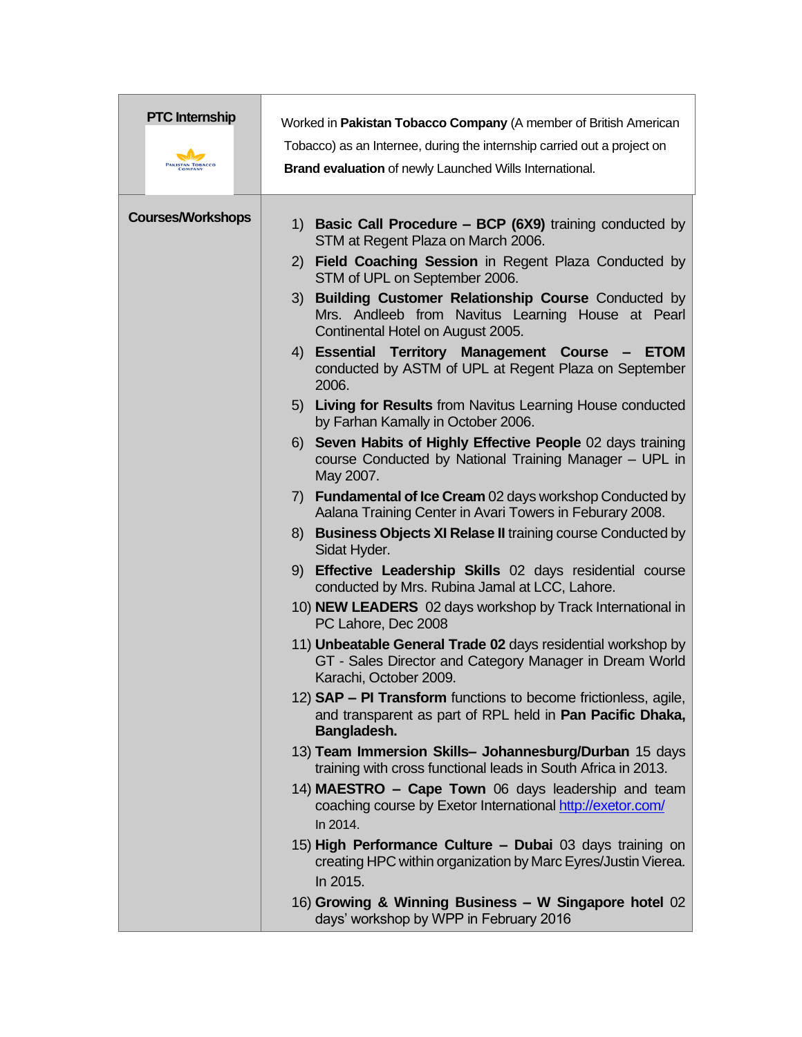| <b>PTC</b> Internship<br>PAKISTAN TOBACCO<br>COMPANY | Worked in Pakistan Tobacco Company (A member of British American<br>Tobacco) as an Internee, during the internship carried out a project on<br>Brand evaluation of newly Launched Wills International.                                                                                                                                                                                                                                                                                                                                                                                                                                                                                                                                                                                                                                 |
|------------------------------------------------------|----------------------------------------------------------------------------------------------------------------------------------------------------------------------------------------------------------------------------------------------------------------------------------------------------------------------------------------------------------------------------------------------------------------------------------------------------------------------------------------------------------------------------------------------------------------------------------------------------------------------------------------------------------------------------------------------------------------------------------------------------------------------------------------------------------------------------------------|
| <b>Courses/Workshops</b>                             | 1) Basic Call Procedure - BCP (6X9) training conducted by<br>STM at Regent Plaza on March 2006.<br>2) Field Coaching Session in Regent Plaza Conducted by<br>STM of UPL on September 2006.<br><b>Building Customer Relationship Course Conducted by</b><br>3)<br>Mrs. Andleeb from Navitus Learning House at Pearl<br>Continental Hotel on August 2005.<br>Essential Territory Management Course -<br>4)<br><b>ETOM</b><br>conducted by ASTM of UPL at Regent Plaza on September<br>2006.                                                                                                                                                                                                                                                                                                                                              |
|                                                      | 5) Living for Results from Navitus Learning House conducted<br>by Farhan Kamally in October 2006.<br>6) Seven Habits of Highly Effective People 02 days training<br>course Conducted by National Training Manager - UPL in<br>May 2007.<br>7) Fundamental of Ice Cream 02 days workshop Conducted by<br>Aalana Training Center in Avari Towers in Feburary 2008.<br><b>Business Objects XI Relase II training course Conducted by</b><br>8)<br>Sidat Hyder.<br>Effective Leadership Skills 02 days residential course<br>9)<br>conducted by Mrs. Rubina Jamal at LCC, Lahore.<br>10) NEW LEADERS 02 days workshop by Track International in                                                                                                                                                                                            |
|                                                      | PC Lahore, Dec 2008<br>11) Unbeatable General Trade 02 days residential workshop by<br>GT - Sales Director and Category Manager in Dream World<br>Karachi, October 2009.<br>12) <b>SAP – PI Transform</b> functions to become frictionless, agile,<br>and transparent as part of RPL held in Pan Pacific Dhaka,<br>Bangladesh.<br>13) Team Immersion Skills- Johannesburg/Durban 15 days<br>training with cross functional leads in South Africa in 2013.<br>14) MAESTRO - Cape Town 06 days leadership and team<br>coaching course by Exetor International http://exetor.com/<br>In 2014.<br>15) High Performance Culture - Dubai 03 days training on<br>creating HPC within organization by Marc Eyres/Justin Vierea.<br>In 2015.<br>16) Growing & Winning Business - W Singapore hotel 02<br>days' workshop by WPP in February 2016 |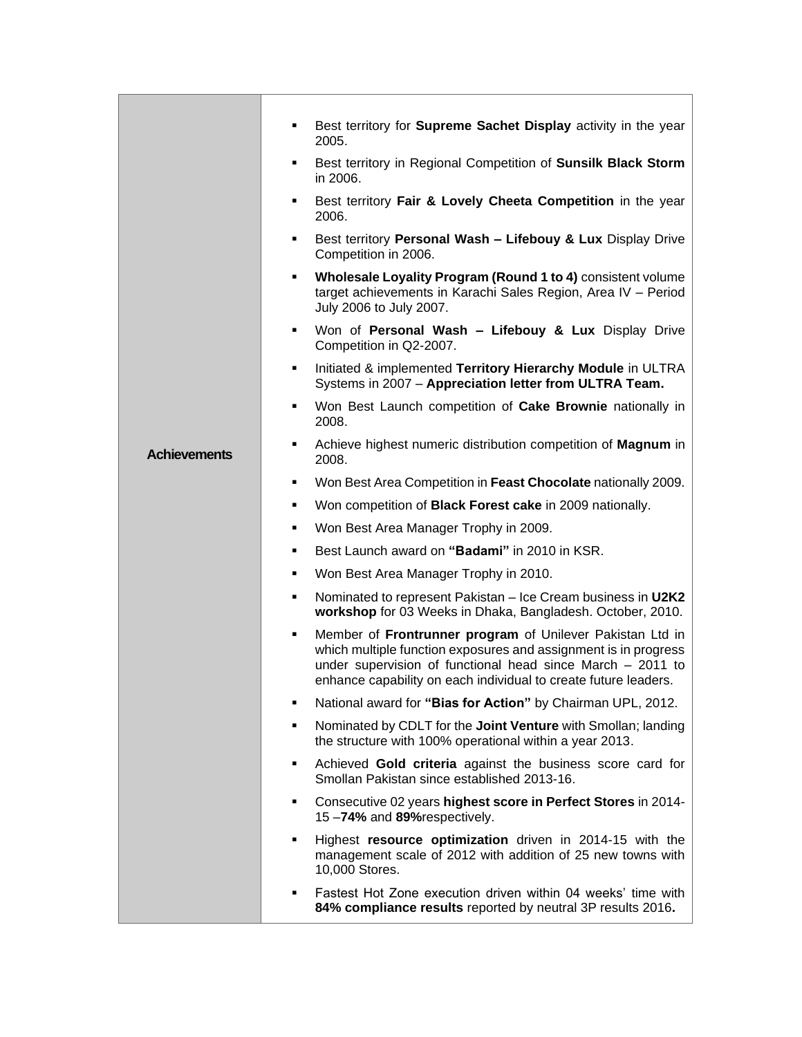|                     | Best territory for Supreme Sachet Display activity in the year<br>٠<br>2005.                                                                                                                                                                                       |
|---------------------|--------------------------------------------------------------------------------------------------------------------------------------------------------------------------------------------------------------------------------------------------------------------|
|                     | Best territory in Regional Competition of Sunsilk Black Storm<br>٠<br>in 2006.                                                                                                                                                                                     |
|                     | Best territory Fair & Lovely Cheeta Competition in the year<br>٠<br>2006.                                                                                                                                                                                          |
|                     | Best territory Personal Wash - Lifebouy & Lux Display Drive<br>٠<br>Competition in 2006.                                                                                                                                                                           |
|                     | Wholesale Loyality Program (Round 1 to 4) consistent volume<br>٠<br>target achievements in Karachi Sales Region, Area IV - Period<br>July 2006 to July 2007.                                                                                                       |
|                     | Won of Personal Wash - Lifebouy & Lux Display Drive<br>٠<br>Competition in Q2-2007.                                                                                                                                                                                |
|                     | Initiated & implemented Territory Hierarchy Module in ULTRA<br>٠<br>Systems in 2007 - Appreciation letter from ULTRA Team.                                                                                                                                         |
|                     | Won Best Launch competition of Cake Brownie nationally in<br>٠<br>2008.                                                                                                                                                                                            |
| <b>Achievements</b> | Achieve highest numeric distribution competition of Magnum in<br>٠<br>2008.                                                                                                                                                                                        |
|                     | Won Best Area Competition in Feast Chocolate nationally 2009.<br>٠                                                                                                                                                                                                 |
|                     | Won competition of Black Forest cake in 2009 nationally.<br>٠                                                                                                                                                                                                      |
|                     | Won Best Area Manager Trophy in 2009.<br>٠                                                                                                                                                                                                                         |
|                     | Best Launch award on "Badami" in 2010 in KSR.<br>٠                                                                                                                                                                                                                 |
|                     | Won Best Area Manager Trophy in 2010.<br>٠                                                                                                                                                                                                                         |
|                     | Nominated to represent Pakistan - Ice Cream business in U2K2<br>٠<br>workshop for 03 Weeks in Dhaka, Bangladesh. October, 2010.                                                                                                                                    |
|                     | Member of Frontrunner program of Unilever Pakistan Ltd in<br>٠<br>which multiple function exposures and assignment is in progress<br>under supervision of functional head since March - 2011 to<br>enhance capability on each individual to create future leaders. |
|                     | National award for "Bias for Action" by Chairman UPL, 2012.<br>٠                                                                                                                                                                                                   |
|                     | Nominated by CDLT for the Joint Venture with Smollan; landing<br>٠<br>the structure with 100% operational within a year 2013.                                                                                                                                      |
|                     | Achieved Gold criteria against the business score card for<br>٠<br>Smollan Pakistan since established 2013-16.                                                                                                                                                     |
|                     | Consecutive 02 years highest score in Perfect Stores in 2014-<br>٠<br>15-74% and 89% respectively.                                                                                                                                                                 |
|                     | Highest resource optimization driven in 2014-15 with the<br>٠<br>management scale of 2012 with addition of 25 new towns with<br>10,000 Stores.                                                                                                                     |
|                     | Fastest Hot Zone execution driven within 04 weeks' time with<br>٠<br>84% compliance results reported by neutral 3P results 2016.                                                                                                                                   |